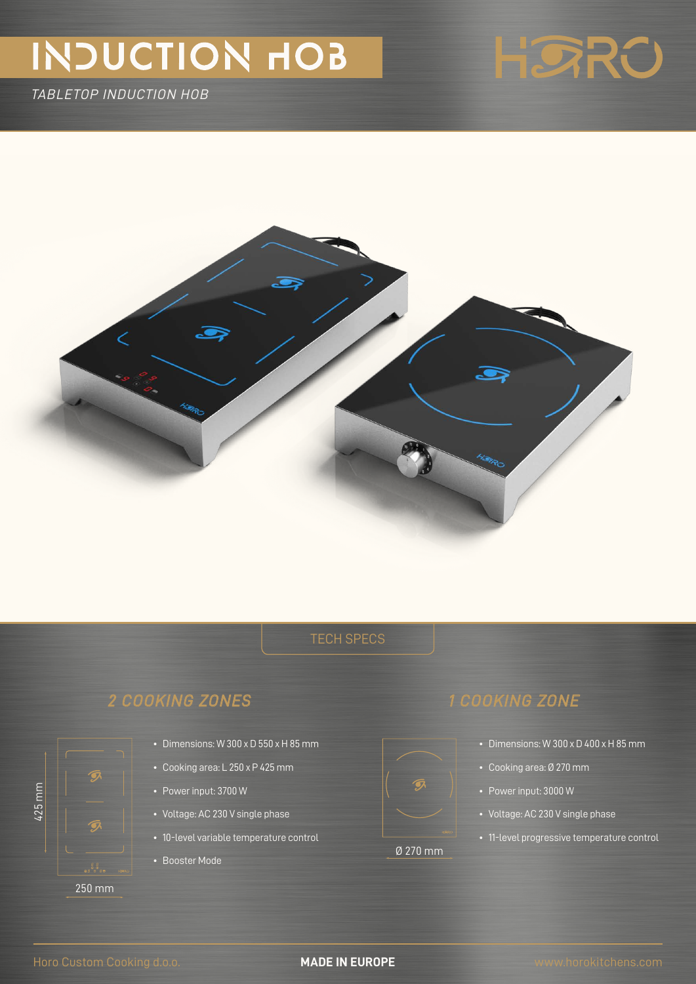# INDUCTION HOB

*TABLETOP INDUCTION HOB*





## *2 COOKING ZONES 1 COOKING ZONE*



425 mm

- Dimensions: W 300 x D 550 x H 85 mm
- Cooking area: L 250 x P 425 mm
- Power input: 3700 W
- Voltage: AC 230 V single phase
- 10-level variable temperature control
- Booster Mode

# Ø 270 mm

- - Dimensions: W 300 x D 400 x H 85 mm
	- Cooking area: Ø 270 mm
	- Power input: 3000 W
	- Voltage: AC 230 V single phase
	- 11-level progressive temperature control